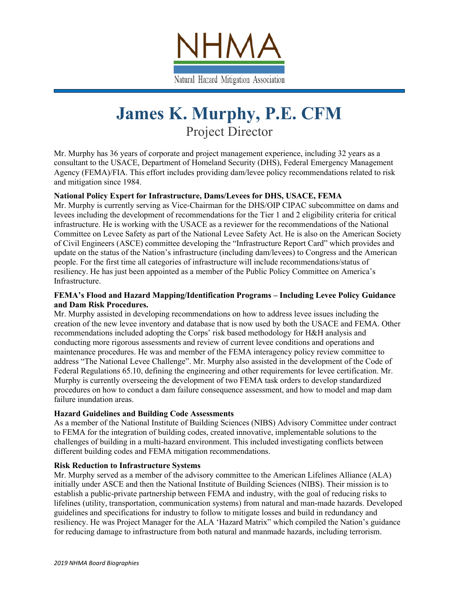

# **James K. Murphy, P.E. CFM** Project Director

Mr. Murphy has 36 years of corporate and project management experience, including 32 years as a consultant to the USACE, Department of Homeland Security (DHS), Federal Emergency Management Agency (FEMA)/FIA. This effort includes providing dam/levee policy recommendations related to risk and mitigation since 1984.

## **National Policy Expert for Infrastructure, Dams/Levees for DHS, USACE, FEMA**

Mr. Murphy is currently serving as Vice-Chairman for the DHS/OIP CIPAC subcommittee on dams and levees including the development of recommendations for the Tier 1 and 2 eligibility criteria for critical infrastructure. He is working with the USACE as a reviewer for the recommendations of the National Committee on Levee Safety as part of the National Levee Safety Act. He is also on the American Society of Civil Engineers (ASCE) committee developing the "Infrastructure Report Card" which provides and update on the status of the Nation's infrastructure (including dam/levees) to Congress and the American people. For the first time all categories of infrastructure will include recommendations/status of resiliency. He has just been appointed as a member of the Public Policy Committee on America's Infrastructure.

#### **FEMA's Flood and Hazard Mapping/Identification Programs – Including Levee Policy Guidance and Dam Risk Procedures.**

Mr. Murphy assisted in developing recommendations on how to address levee issues including the creation of the new levee inventory and database that is now used by both the USACE and FEMA. Other recommendations included adopting the Corps' risk based methodology for H&H analysis and conducting more rigorous assessments and review of current levee conditions and operations and maintenance procedures. He was and member of the FEMA interagency policy review committee to address "The National Levee Challenge". Mr. Murphy also assisted in the development of the Code of Federal Regulations 65.10, defining the engineering and other requirements for levee certification. Mr. Murphy is currently overseeing the development of two FEMA task orders to develop standardized procedures on how to conduct a dam failure consequence assessment, and how to model and map dam failure inundation areas.

#### **Hazard Guidelines and Building Code Assessments**

As a member of the National Institute of Building Sciences (NIBS) Advisory Committee under contract to FEMA for the integration of building codes, created innovative, implementable solutions to the challenges of building in a multi-hazard environment. This included investigating conflicts between different building codes and FEMA mitigation recommendations.

#### **Risk Reduction to Infrastructure Systems**

Mr. Murphy served as a member of the advisory committee to the American Lifelines Alliance (ALA) initially under ASCE and then the National Institute of Building Sciences (NIBS). Their mission is to establish a public-private partnership between FEMA and industry, with the goal of reducing risks to lifelines (utility, transportation, communication systems) from natural and man-made hazards. Developed guidelines and specifications for industry to follow to mitigate losses and build in redundancy and resiliency. He was Project Manager for the ALA 'Hazard Matrix" which compiled the Nation's guidance for reducing damage to infrastructure from both natural and manmade hazards, including terrorism.